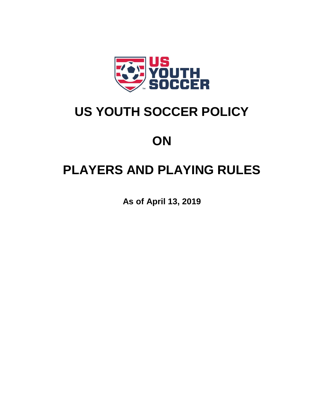

# **US YOUTH SOCCER POLICY**

# **ON**

# **PLAYERS AND PLAYING RULES**

**As of April 13, 2019**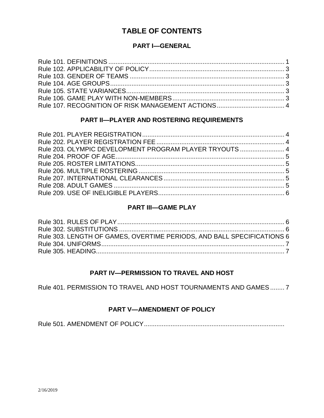## **TABLE OF CONTENTS**

## **PART I—GENERAL**

## **PART II—PLAYER AND ROSTERING REQUIREMENTS**

| Rule 203. OLYMPIC DEVELOPMENT PROGRAM PLAYER TRYOUTS  4 |  |
|---------------------------------------------------------|--|
|                                                         |  |
|                                                         |  |
|                                                         |  |
|                                                         |  |
|                                                         |  |
|                                                         |  |
|                                                         |  |

### **PART III—GAME PLAY**

| Rule 303. LENGTH OF GAMES, OVERTIME PERIODS, AND BALL SPECIFICATIONS 6 |  |
|------------------------------------------------------------------------|--|
|                                                                        |  |
|                                                                        |  |

### **PART IV—PERMISSION TO TRAVEL AND HOST**

Rule 401. PERMISSION TO TRAVEL AND HOST TOURNAMENTS AND GAMES........ 7

### **PART V—AMENDMENT OF POLICY**

Rule 501. AMENDMENT OF POLICY...............................................................................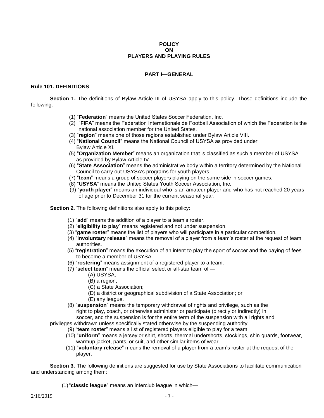#### **POLICY ON PLAYERS AND PLAYING RULES**

#### **PART I—GENERAL**

#### **Rule 101. DEFINITIONS**

**Section 1.** The definitions of Bylaw Article III of USYSA apply to this policy. Those definitions include the following:

- (1) "**Federation**" means the United States Soccer Federation, Inc.
- (2) "**FIFA**" means the Federation Internationale de Football Association of which the Federation is the national association member for the United States.
- (3) "**region**" means one of those regions established under Bylaw Article VIII.
- (4) "**National Council**" means the National Council of USYSA as provided under Bylaw Article XI.
- (5) "**Organization Member**" means an organization that is classified as such a member of USYSA as provided by Bylaw Article IV.
- (6) "**State Association**" means the administrative body within a territory determined by the National Council to carry out USYSA's programs for youth players.
- (7) "**team**" means a group of soccer players playing on the same side in soccer games.
- (8) "**USYSA**" means the United States Youth Soccer Association, Inc.
- (9) "**youth player**" means an individual who is an amateur player and who has not reached 20 years of age prior to December 31 for the current seasonal year.

**Section 2.** The following definitions also apply to this policy:

- (1) "**add**" means the addition of a player to a team's roster.
- (2) "**eligibility to play**" means registered and not under suspension.
- (3) "**game roster**" means the list of players who will participate in a particular competition.
- (4) "**involuntary release**" means the removal of a player from a team's roster at the request of team authorities.
- (5) "**registration**" means the execution of an intent to play the sport of soccer and the paying of fees to become a member of USYSA.
- (6) "**rostering**" means assignment of a registered player to a team.
- (7) "**select team**" means the official select or all-star team of
	- (A) USYSA;
	- (B) a region;
	- (C) a State Association;
	- (D) a district or geographical subdivision of a State Association; or
	- (E) any league.
- (8) "**suspension**" means the temporary withdrawal of rights and privilege, such as the right to play, coach, or otherwise administer or participate (directly or indirectly) in soccer, and the suspension is for the entire term of the suspension with all rights and

privileges withdrawn unless specifically stated otherwise by the suspending authority.

- (9) "**team roster**" means a list of registered players eligible to play for a team.
- (10) "**uniform**" means a jersey or shirt, shorts, thermal undershorts, stockings, shin guards, footwear, warmup jacket, pants, or suit, and other similar items of wear.
- (11) "**voluntary release**" means the removal of a player from a team's roster at the request of the player.

**Section 3.** The following definitions are suggested for use by State Associations to facilitate communication and understanding among them:

(1)"**classic league**" means an interclub league in which—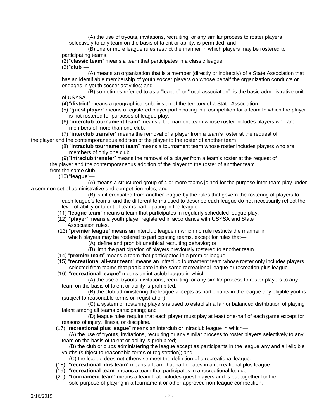(A) the use of tryouts, invitations, recruiting, or any similar process to roster players selectively to any team on the basis of talent or ability, is permitted; and

(B) one or more league rules restrict the manner in which players may be rostered to participating teams.

(2)"**classic team**" means a team that participates in a classic league.

(3)"**club**"—

(A) means an organization that is a member (directly or indirectly) of a State Association that has an identifiable membership of youth soccer players on whose behalf the organization conducts or engages in youth soccer activities; and

(B) sometimes referred to as a "league" or "local association", is the basic administrative unit of USYSA.

(4)"**district**" means a geographical subdivision of the territory of a State Association.

- (5) "**guest player**" means a registered player participating in a competition for a team to which the player is not rostered for purposes of league play.
- (6) "**interclub tournament team**" means a tournament team whose roster includes players who are members of more than one club.

 (7) "**interclub transfer**" means the removal of a player from a team's roster at the request of the player and the contemporaneous addition of the player to the roster of another team

 (8) "**intraclub tournament team**" means a tournament team whose roster includes players who are members of only one club.

 (9) "**intraclub transfer**" means the removal of a player from a team's roster at the request of the player and the contemporaneous addition of the player to the roster of another team from the same club.

(10) "**league**"—

(A) means a structured group of 4 or more teams joined for the purpose inter-team play under a common set of administrative and competition rules; and

(B) is differentiated from another league by the rules that govern the rostering of players to each league's teams, and the different terms used to describe each league do not necessarily reflect the level of ability or talent of teams participating in the league.

- (11) "**league team**" means a team that participates in regularly scheduled league play.
- (12) "**player**" means a youth player registered in accordance with USYSA and State Association rules.
- (13) "**premier league**" means an interclub league in which no rule restricts the manner in
	- which players may be rostered to participating teams, except for rules that-
		- (A) define and prohibit unethical recruiting behavior; or
		- (B) limit the participation of players previously rostered to another team.
- (14) "**premier team**" means a team that participates in a premier league.
- (15) "**recreational all-star team**" means an intraclub tournament team whose roster only includes players selected from teams that participate in the same recreational league or recreation plus league.
- (16) "**recreational league**" means an intraclub league in which—

(A) the use of tryouts, invitations, recruiting, or any similar process to roster players to any team on the basis of talent or ability is prohibited;

(B) the club administering the league accepts as participants in the league any eligible youths (subject to reasonable terms on registration);

(C) a system or rostering players is used to establish a fair or balanced distribution of playing talent among all teams participating; and

(D) league rules require that each player must play at least one-half of each game except for reasons of injury, illness, or discipline.

(17) "**recreational plus league**" means an interclub or intraclub league in which—

(A) the use of tryouts, invitations, recruiting or any similar process to roster players selectively to any team on the basis of talent or ability is prohibited;

- (B) the club or clubs administering the league accept as participants in the league any and all eligible youths (subject to reasonable terms of registration); and
	- (C) the league does not otherwise meet the definition of a recreational league.
- (18) "**recreational plus team**" means a team that participates in a recreational plus league.
- (19) "**recreational team**" means a team that participates in a recreational league.
- (20) "**tournament team**" means a team that includes guest players and is put together for the sole purpose of playing in a tournament or other approved non-league competition.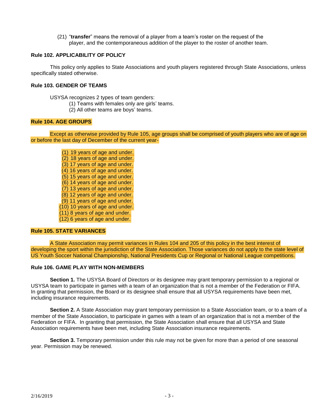(21) "**transfer**" means the removal of a player from a team's roster on the request of the player, and the contemporaneous addition of the player to the roster of another team.

#### **Rule 102. APPLICABILITY OF POLICY**

This policy only applies to State Associations and youth players registered through State Associations, unless specifically stated otherwise.

#### **Rule 103. GENDER OF TEAMS**

USYSA recognizes 2 types of team genders:

- (1) Teams with females only are girls' teams.
- (2) All other teams are boys' teams.

#### **Rule 104. AGE GROUPS**

Except as otherwise provided by Rule 105, age groups shall be comprised of youth players who are of age on or before the last day of December of the current year-

(1) 19 years of age and under. (2) 18 years of age and under. (3) 17 years of age and under. (4) 16 years of age and under. (5) 15 years of age and under. (6) 14 years of age and under. (7) 13 years of age and under. (8) 12 years of age and under. (9) 11 years of age and under. (10) 10 years of age and under. (11) 8 years of age and under. (12) 6 years of age and under.

#### **Rule 105. STATE VARIANCES**

A State Association may permit variances in Rules 104 and 205 of this policy in the best interest of developing the sport within the jurisdiction of the State Association. Those variances do not apply to the state level of US Youth Soccer National Championship, National Presidents Cup or Regional or National League competitions.

#### **Rule 106. GAME PLAY WITH NON-MEMBERS**

**Section 1.** The USYSA Board of Directors or its designee may grant temporary permission to a regional or USYSA team to participate in games with a team of an organization that is not a member of the Federation or FIFA. In granting that permission, the Board or its designee shall ensure that all USYSA requirements have been met, including insurance requirements.

**Section 2.** A State Association may grant temporary permission to a State Association team, or to a team of a member of the State Association, to participate in games with a team of an organization that is not a member of the Federation or FIFA. In granting that permission, the State Association shall ensure that all USYSA and State Association requirements have been met, including State Association insurance requirements.

**Section 3.** Temporary permission under this rule may not be given for more than a period of one seasonal year. Permission may be renewed.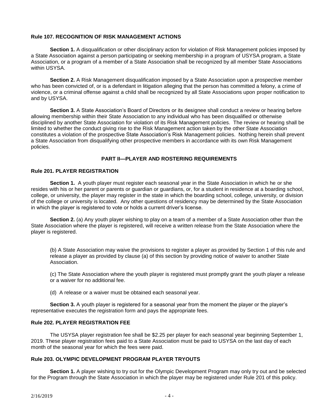#### **Rule 107. RECOGNITION OF RISK MANAGEMENT ACTIONS**

**Section 1.** A disqualification or other disciplinary action for violation of Risk Management policies imposed by a State Association against a person participating or seeking membership in a program of USYSA program, a State Association, or a program of a member of a State Association shall be recognized by all member State Associations within USYSA.

**Section 2.** A Risk Management disqualification imposed by a State Association upon a prospective member who has been convicted of, or is a defendant in litigation alleging that the person has committed a felony, a crime of violence, or a criminal offense against a child shall be recognized by all State Associations upon proper notification to and by USYSA.

**Section 3.** A State Association's Board of Directors or its designee shall conduct a review or hearing before allowing membership within their State Association to any individual who has been disqualified or otherwise disciplined by another State Association for violation of its Risk Management policies. The review or hearing shall be limited to whether the conduct giving rise to the Risk Management action taken by the other State Association constitutes a violation of the prospective State Association's Risk Management policies. Nothing herein shall prevent a State Association from disqualifying other prospective members in accordance with its own Risk Management policies.

#### **PART II—PLAYER AND ROSTERING REQUIREMENTS**

#### **Rule 201. PLAYER REGISTRATION**

**Section 1.** A youth player must register each seasonal year in the State Association in which he or she resides with his or her parent or parents or guardian or guardians, or, for a student in residence at a boarding school, college, or university, the player may register in the state in which the boarding school, college, university, or division of the college or university is located. Any other questions of residency may be determined by the State Association in which the player is registered to vote or holds a current driver's license.

**Section 2.** (a) Any youth player wishing to play on a team of a member of a State Association other than the State Association where the player is registered, will receive a written release from the State Association where the player is registered.

(b) A State Association may waive the provisions to register a player as provided by Section 1 of this rule and release a player as provided by clause (a) of this section by providing notice of waiver to another State Association.

(c) The State Association where the youth player is registered must promptly grant the youth player a release or a waiver for no additional fee.

(d) A release or a waiver must be obtained each seasonal year.

**Section 3.** A youth player is registered for a seasonal year from the moment the player or the player's representative executes the registration form and pays the appropriate fees.

#### **Rule 202. PLAYER REGISTRATION FEE**

The USYSA player registration fee shall be \$2.25 per player for each seasonal year beginning September 1, 2019. These player registration fees paid to a State Association must be paid to USYSA on the last day of each month of the seasonal year for which the fees were paid.

#### **Rule 203. OLYMPIC DEVELOPMENT PROGRAM PLAYER TRYOUTS**

**Section 1.** A player wishing to try out for the Olympic Development Program may only try out and be selected for the Program through the State Association in which the player may be registered under Rule 201 of this policy.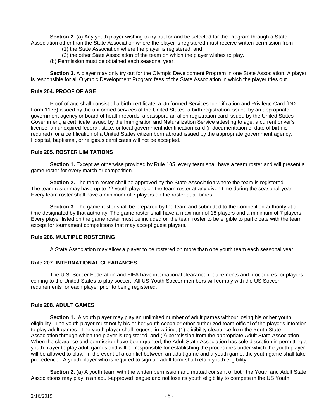**Section 2.** (a) Any youth player wishing to try out for and be selected for the Program through a State Association other than the State Association where the player is registered must receive written permission from—

- (1) the State Association where the player is registered; and
- (2) the other State Association of the team on which the player wishes to play.
- (b) Permission must be obtained each seasonal year.

**Section 3.** A player may only try out for the Olympic Development Program in one State Association. A player is responsible for all Olympic Development Program fees of the State Association in which the player tries out.

#### **Rule 204. PROOF OF AGE**

Proof of age shall consist of a birth certificate, a Uniformed Services Identification and Privilege Card (DD Form 1173) issued by the uniformed services of the United States, a birth registration issued by an appropriate government agency or board of health records, a passport, an alien registration card issued by the United States Government, a certificate issued by the Immigration and Naturalization Service attesting to age, a current driver's license, an unexpired federal, state, or local government identification card (if documentation of date of birth is required), or a certification of a United States citizen born abroad issued by the appropriate government agency. Hospital, baptismal, or religious certificates will not be accepted.

#### **Rule 205. ROSTER LIMITATIONS**

**Section 1.** Except as otherwise provided by Rule 105, every team shall have a team roster and will present a game roster for every match or competition.

**Section 2.** The team roster shall be approved by the State Association where the team is registered. The team roster may have up to 22 youth players on the team roster at any given time during the seasonal year. Every team roster shall have a minimum of 7 players on the roster at all times.

**Section 3.** The game roster shall be prepared by the team and submitted to the competition authority at a time designated by that authority. The game roster shall have a maximum of 18 players and a minimum of 7 players. Every player listed on the game roster must be included on the team roster to be eligible to participate with the team except for tournament competitions that may accept guest players.

#### **Rule 206. MULTIPLE ROSTERING**

A State Association may allow a player to be rostered on more than one youth team each seasonal year.

#### **Rule 207. INTERNATIONAL CLEARANCES**

The U.S. Soccer Federation and FIFA have international clearance requirements and procedures for players coming to the United States to play soccer. All US Youth Soccer members will comply with the US Soccer requirements for each player prior to being registered.

#### **Rule 208. ADULT GAMES**

**Section 1.** A youth player may play an unlimited number of adult games without losing his or her youth eligibility. The youth player must notify his or her youth coach or other authorized team official of the player's intention to play adult games. The youth player shall request, in writing, (1) eligibility clearance from the Youth State Association through which the player is registered, and (2) permission from the appropriate Adult State Association. When the clearance and permission have been granted, the Adult State Association has sole discretion in permitting a youth player to play adult games and will be responsible for establishing the procedures under which the youth player will be allowed to play. In the event of a conflict between an adult game and a youth game, the youth game shall take precedence. A youth player who is required to sign an adult form shall retain youth eligibility.

**Section 2.** (a) A youth team with the written permission and mutual consent of both the Youth and Adult State Associations may play in an adult-approved league and not lose its youth eligibility to compete in the US Youth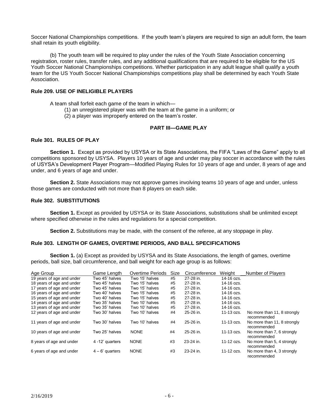Soccer National Championships competitions. If the youth team's players are required to sign an adult form, the team shall retain its youth eligibility.

(b) The youth team will be required to play under the rules of the Youth State Association concerning registration, roster rules, transfer rules, and any additional qualifications that are required to be eligible for the US Youth Soccer National Championships competitions. Whether participation in any adult league shall qualify a youth team for the US Youth Soccer National Championships competitions play shall be determined by each Youth State Association.

#### **Rule 209. USE OF INELIGIBLE PLAYERS**

A team shall forfeit each game of the team in which—

- (1) an unregistered player was with the team at the game in a uniform; or
	- (2) a player was improperly entered on the team's roster.

#### **PART III—GAME PLAY**

#### **Rule 301. RULES OF PLAY**

**Section 1.** Except as provided by USYSA or its State Associations, the FIFA "Laws of the Game" apply to all competitions sponsored by USYSA. Players 10 years of age and under may play soccer in accordance with the rules of USYSA's Development Player Program—Modified Playing Rules for 10 years of age and under, 8 years of age and under, and 6 years of age and under.

**Section 2.** State Associations may not approve games involving teams 10 years of age and under, unless those games are conducted with not more than 8 players on each side.

#### **Rule 302. SUBSTITUTIONS**

**Section 1.** Except as provided by USYSA or its State Associations, substitutions shall be unlimited except where specified otherwise in the rules and regulations for a special competition.

**Section 2.** Substitutions may be made, with the consent of the referee, at any stoppage in play.

#### **Rule 303. LENGTH OF GAMES, OVERTIME PERIODS, AND BALL SPECIFICATIONS**

**Section 1.** (a) Except as provided by USYSA and its State Associations, the length of games, overtime periods, ball size, ball circumference, and ball weight for each age group is as follows:

| Age Group                 | Game Length       | Overtime Periods | Size | Circumference | Weight     | Number of Players                          |
|---------------------------|-------------------|------------------|------|---------------|------------|--------------------------------------------|
| 19 years of age and under | Two 45' halves    | Two 15' halves   | #5   | 27-28 in.     | 14-16 ozs. |                                            |
| 18 years of age and under | Two 45' halves    | Two 15' halves   | #5   | 27-28 in.     | 14-16 ozs. |                                            |
| 17 years of age and under | Two 45' halves    | Two 15' halves   | #5   | 27-28 in.     | 14-16 ozs. |                                            |
| 16 years of age and under | Two 40' halves    | Two 15' halves   | #5   | 27-28 in.     | 14-16 ozs. |                                            |
| 15 years of age and under | Two 40' halves    | Two 15' halves   | #5   | 27-28 in.     | 14-16 ozs. |                                            |
| 14 years of age and under | Two 35' halves    | Two 10' halves   | #5   | 27-28 in.     | 14-16 ozs. |                                            |
| 13 years of age and under | Two 35' halves    | Two 10' halves   | #5   | 27-28 in.     | 14-16 ozs. |                                            |
| 12 years of age and under | Two 30' halves    | Two 10' halves   | #4   | 25-26 in.     | 11-13 ozs. | No more than 11, 8 strongly<br>recommended |
| 11 years of age and under | Two 30' halves    | Two 10' halves   | #4   | 25-26 in.     | 11-13 ozs. | No more than 11, 8 strongly<br>recommended |
| 10 years of age and under | Two 25' halves    | <b>NONE</b>      | #4   | 25-26 in.     | 11-13 ozs. | No more than 7, 6 strongly<br>recommended  |
| 8 years of age and under  | 4 -12' quarters   | <b>NONE</b>      | #3   | 23-24 in.     | 11-12 ozs. | No more than 5, 4 strongly<br>recommended  |
| 6 years of age and under  | $4 - 6'$ quarters | <b>NONE</b>      | #3   | 23-24 in.     | 11-12 ozs. | No more than 4, 3 strongly<br>recommended  |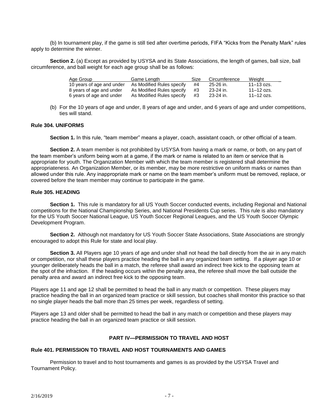(b) In tournament play, if the game is still tied after overtime periods, FIFA "Kicks from the Penalty Mark" rules apply to determine the winner.

**Section 2.** (a) Except as provided by USYSA and its State Associations, the length of games, ball size, ball circumference, and ball weight for each age group shall be as follows:

| Age Group                 | Game Length               | Size | Circumference | Weight         |
|---------------------------|---------------------------|------|---------------|----------------|
| 10 years of age and under | As Modified Rules specify | #4   | 25-26 in.     | $11 - 13$ ozs. |
| 8 years of age and under  | As Modified Rules specify | #3   | 23-24 in.     | $11 - 12$ ozs. |
| 6 years of age and under  | As Modified Rules specify | #3   | 23-24 in.     | 11–12 ozs.     |

(b) For the 10 years of age and under, 8 years of age and under, and 6 years of age and under competitions, ties will stand.

#### **Rule 304. UNIFORMS**

**Section 1.** In this rule, "team member" means a player, coach, assistant coach, or other official of a team.

**Section 2.** A team member is not prohibited by USYSA from having a mark or name, or both, on any part of the team member's uniform being worn at a game, if the mark or name is related to an item or service that is appropriate for youth. The Organization Member with which the team member is registered shall determine the appropriateness. An Organization Member, or its member, may be more restrictive on uniform marks or names than allowed under this rule. Any inappropriate mark or name on the team member's uniform must be removed, replace, or covered before the team member may continue to participate in the game.

#### **Rule 305. HEADING**

**Section 1.** This rule is mandatory for all US Youth Soccer conducted events, including Regional and National competitions for the National Championship Series, and National Presidents Cup series. This rule is also mandatory for the US Youth Soccer National League, US Youth Soccer Regional Leagues, and the US Youth Soccer Olympic Development Program.

Section 2. Although not mandatory for US Youth Soccer State Associations, State Associations are strongly encouraged to adopt this Rule for state and local play.

**Section 3.** All Players age 10 years of age and under shall not head the ball directly from the air in any match or competition, nor shall these players practice heading the ball in any organized team setting. If a player age 10 or younger deliberately heads the ball in a match, the referee shall award an indirect free kick to the opposing team at the spot of the infraction. If the heading occurs within the penalty area, the referee shall move the ball outside the penalty area and award an indirect free kick to the opposing team.

Players age 11 and age 12 shall be permitted to head the ball in any match or competition. These players may practice heading the ball in an organized team practice or skill session, but coaches shall monitor this practice so that no single player heads the ball more than 25 times per week, regardless of setting.

Players age 13 and older shall be permitted to head the ball in any match or competition and these players may practice heading the ball in an organized team practice or skill session.

#### **PART IV—PERMISSION TO TRAVEL AND HOST**

#### **Rule 401. PERMISSION TO TRAVEL AND HOST TOURNAMENTS AND GAMES**

Permission to travel and to host tournaments and games is as provided by the USYSA Travel and Tournament Policy.